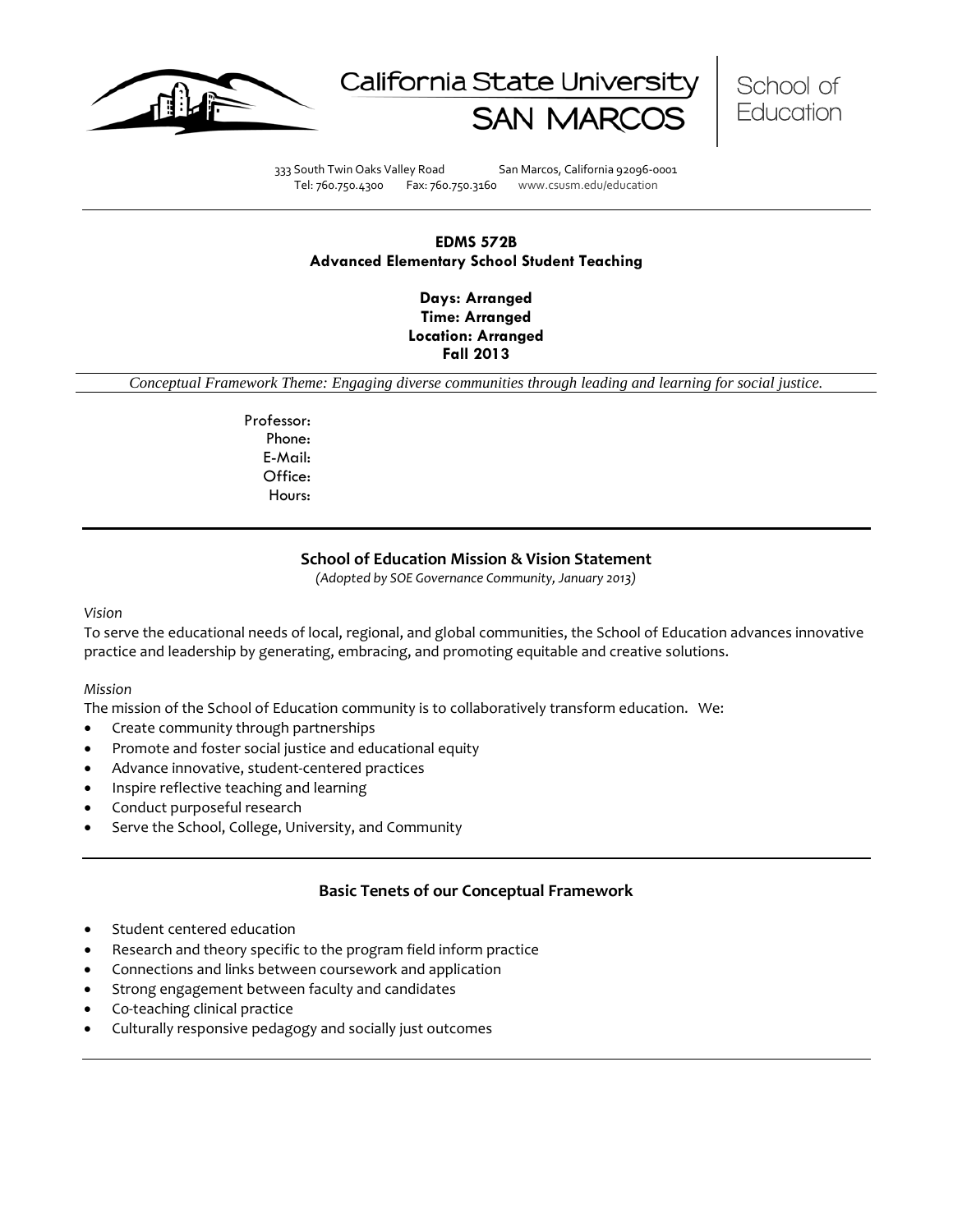





333 South Twin Oaks Valley Road San Marcos, California 92096-0001 Tel: 760.750.4300 Fax: 760.750.3160 www.csusm.edu/education

# **EDMS 572B Advanced Elementary School Student Teaching**

**Days: Arranged Time: Arranged Location: Arranged Fall 2013** 

*Conceptual Framework Theme: Engaging diverse communities through leading and learning for social justice.*

Professor: Phone: E-Mail: Office: Hours:

# **School of Education Mission & Vision Statement**

*(Adopted by SOE Governance Community, January 2013)*

#### *Vision*

To serve the educational needs of local, regional, and global communities, the School of Education advances innovative practice and leadership by generating, embracing, and promoting equitable and creative solutions.

#### *Mission*

The mission of the School of Education community is to collaboratively transform education. We:

- Create community through partnerships
- Promote and foster social justice and educational equity
- Advance innovative, student-centered practices
- Inspire reflective teaching and learning
- Conduct purposeful research
- Serve the School, College, University, and Community

# **Basic Tenets of our Conceptual Framework**

- Student centered education
- Research and theory specific to the program field inform practice
- Connections and links between coursework and application
- Strong engagement between faculty and candidates
- Co-teaching clinical practice
- Culturally responsive pedagogy and socially just outcomes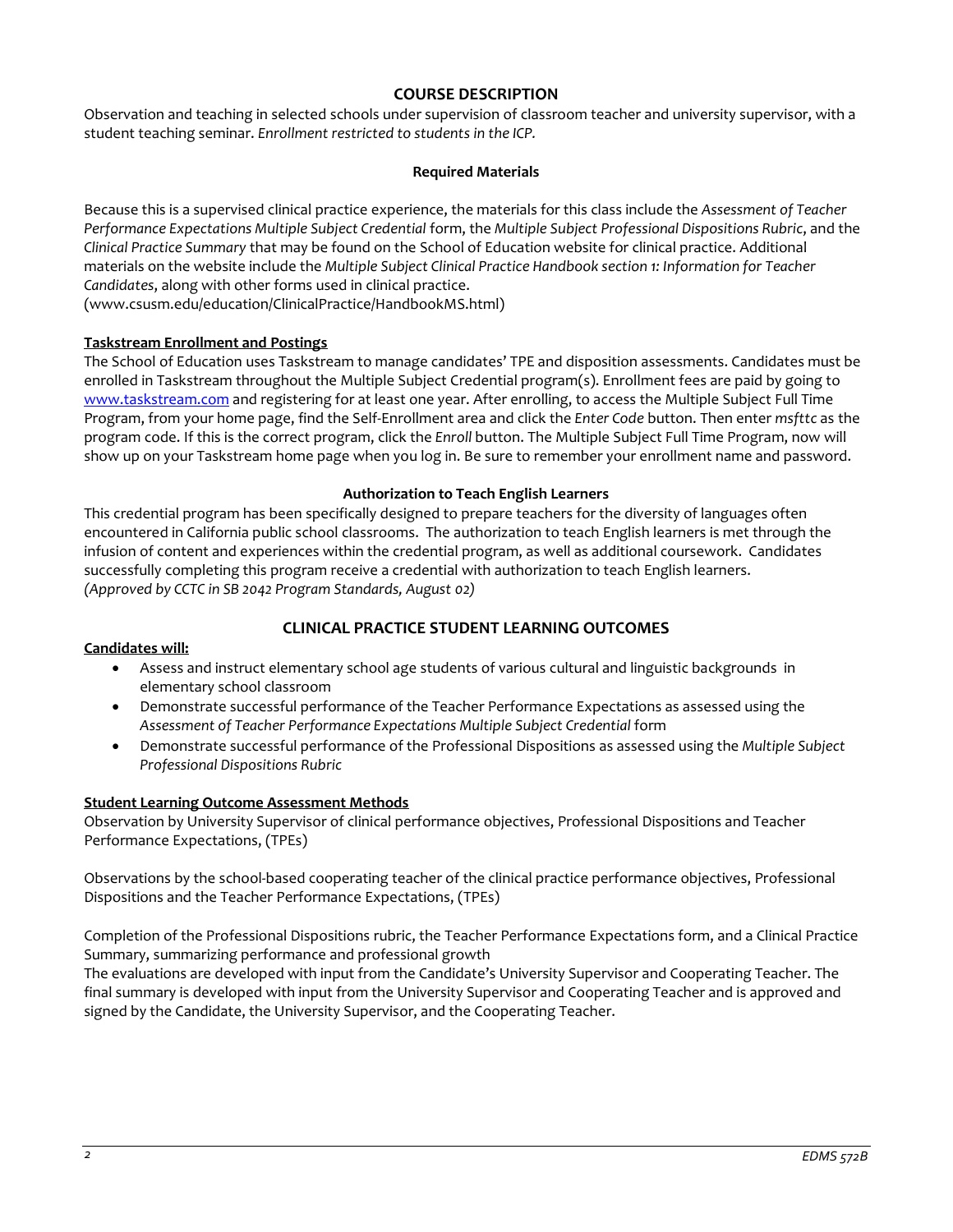# **COURSE DESCRIPTION**

Observation and teaching in selected schools under supervision of classroom teacher and university supervisor, with a student teaching seminar. *Enrollment restricted to students in the ICP.*

## **Required Materials**

Because this is a supervised clinical practice experience, the materials for this class include the *Assessment of Teacher Performance Expectations Multiple Subject Credential* form, the *Multiple Subject Professional Dispositions Rubric*, and the *Clinical Practice Summary* that may be found on the School of Education website for clinical practice. Additional materials on the website include the *Multiple Subject Clinical Practice Handbook section 1: Information for Teacher Candidates*, along with other forms used in clinical practice.

(www.csusm.edu/education/ClinicalPractice/HandbookMS.html)

# **Taskstream Enrollment and Postings**

The School of Education uses Taskstream to manage candidates' TPE and disposition assessments. Candidates must be enrolled in Taskstream throughout the Multiple Subject Credential program(s). Enrollment fees are paid by going to [www.taskstream.com](http://www.taskstrem.com/) and registering for at least one year. After enrolling, to access the Multiple Subject Full Time Program, from your home page, find the Self-Enrollment area and click the *Enter Code* button. Then enter *msfttc* as the program code. If this is the correct program, click the *Enroll* button. The Multiple Subject Full Time Program, now will show up on your Taskstream home page when you log in. Be sure to remember your enrollment name and password.

## **Authorization to Teach English Learners**

This credential program has been specifically designed to prepare teachers for the diversity of languages often encountered in California public school classrooms. The authorization to teach English learners is met through the infusion of content and experiences within the credential program, as well as additional coursework. Candidates successfully completing this program receive a credential with authorization to teach English learners. *(Approved by CCTC in SB 2042 Program Standards, August 02)*

# **CLINICAL PRACTICE STUDENT LEARNING OUTCOMES**

## **Candidates will:**

- Assess and instruct elementary school age students of various cultural and linguistic backgrounds in elementary school classroom
- Demonstrate successful performance of the Teacher Performance Expectations as assessed using the Assessment of Teacher Performance Expectations Multiple Subject Credential form
- Demonstrate successful performance of the Professional Dispositions as assessed using the *Multiple Subject Professional Dispositions Rubric*

## **Student Learning Outcome Assessment Methods**

Observation by University Supervisor of clinical performance objectives, Professional Dispositions and Teacher Performance Expectations, (TPEs)

Observations by the school-based cooperating teacher of the clinical practice performance objectives, Professional Dispositions and the Teacher Performance Expectations, (TPEs)

Completion of the Professional Dispositions rubric, the Teacher Performance Expectations form, and a Clinical Practice Summary, summarizing performance and professional growth

The evaluations are developed with input from the Candidate's University Supervisor and Cooperating Teacher. The final summary is developed with input from the University Supervisor and Cooperating Teacher and is approved and signed by the Candidate, the University Supervisor, and the Cooperating Teacher.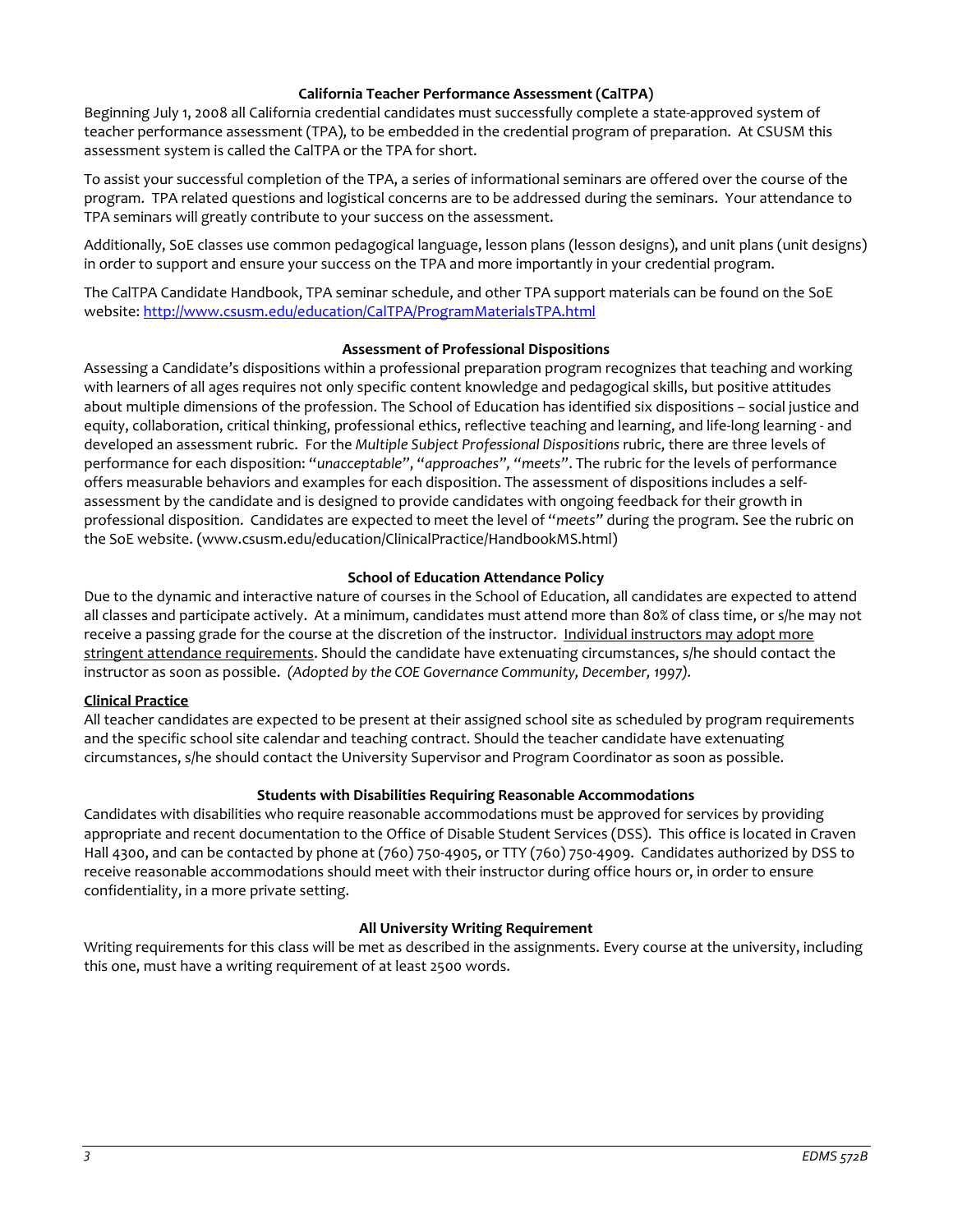## **California Teacher Performance Assessment (CalTPA)**

Beginning July 1, 2008 all California credential candidates must successfully complete a state-approved system of teacher performance assessment (TPA), to be embedded in the credential program of preparation. At CSUSM this assessment system is called the CalTPA or the TPA for short.

To assist your successful completion of the TPA, a series of informational seminars are offered over the course of the program. TPA related questions and logistical concerns are to be addressed during the seminars. Your attendance to TPA seminars will greatly contribute to your success on the assessment.

Additionally, SoE classes use common pedagogical language, lesson plans (lesson designs), and unit plans (unit designs) in order to support and ensure your success on the TPA and more importantly in your credential program.

The CalTPA Candidate Handbook, TPA seminar schedule, and other TPA support materials can be found on the SoE website: <http://www.csusm.edu/education/CalTPA/ProgramMaterialsTPA.html>

#### **Assessment of Professional Dispositions**

Assessing a Candidate's dispositions within a professional preparation program recognizes that teaching and working with learners of all ages requires not only specific content knowledge and pedagogical skills, but positive attitudes about multiple dimensions of the profession. The School of Education has identified six dispositions – social justice and equity, collaboration, critical thinking, professional ethics, reflective teaching and learning, and life-long learning - and developed an assessment rubric. For the *Multiple Subject Professional Dispositions* rubric, there are three levels of performance for each disposition: "*unacceptable"*, "*approaches", "meets"*. The rubric for the levels of performance offers measurable behaviors and examples for each disposition. The assessment of dispositions includes a selfassessment by the candidate and is designed to provide candidates with ongoing feedback for their growth in professional disposition. Candidates are expected to meet the level of "*meets"* during the program. See the rubric on the SoE website. (www.csusm.edu/education/ClinicalPractice/HandbookMS.html)

## **School of Education Attendance Policy**

Due to the dynamic and interactive nature of courses in the School of Education, all candidates are expected to attend all classes and participate actively. At a minimum, candidates must attend more than 80% of class time, or s/he may not receive a passing grade for the course at the discretion of the instructor. Individual instructors may adopt more stringent attendance requirements. Should the candidate have extenuating circumstances, s/he should contact the instructor as soon as possible. *(Adopted by the COE Governance Community, December, 1997).*

## **Clinical Practice**

All teacher candidates are expected to be present at their assigned school site as scheduled by program requirements and the specific school site calendar and teaching contract. Should the teacher candidate have extenuating circumstances, s/he should contact the University Supervisor and Program Coordinator as soon as possible.

## **Students with Disabilities Requiring Reasonable Accommodations**

Candidates with disabilities who require reasonable accommodations must be approved for services by providing appropriate and recent documentation to the Office of Disable Student Services (DSS). This office is located in Craven Hall 4300, and can be contacted by phone at (760) 750-4905, or TTY (760) 750-4909. Candidates authorized by DSS to receive reasonable accommodations should meet with their instructor during office hours or, in order to ensure confidentiality, in a more private setting.

## **All University Writing Requirement**

Writing requirements for this class will be met as described in the assignments. Every course at the university, including this one, must have a writing requirement of at least 2500 words.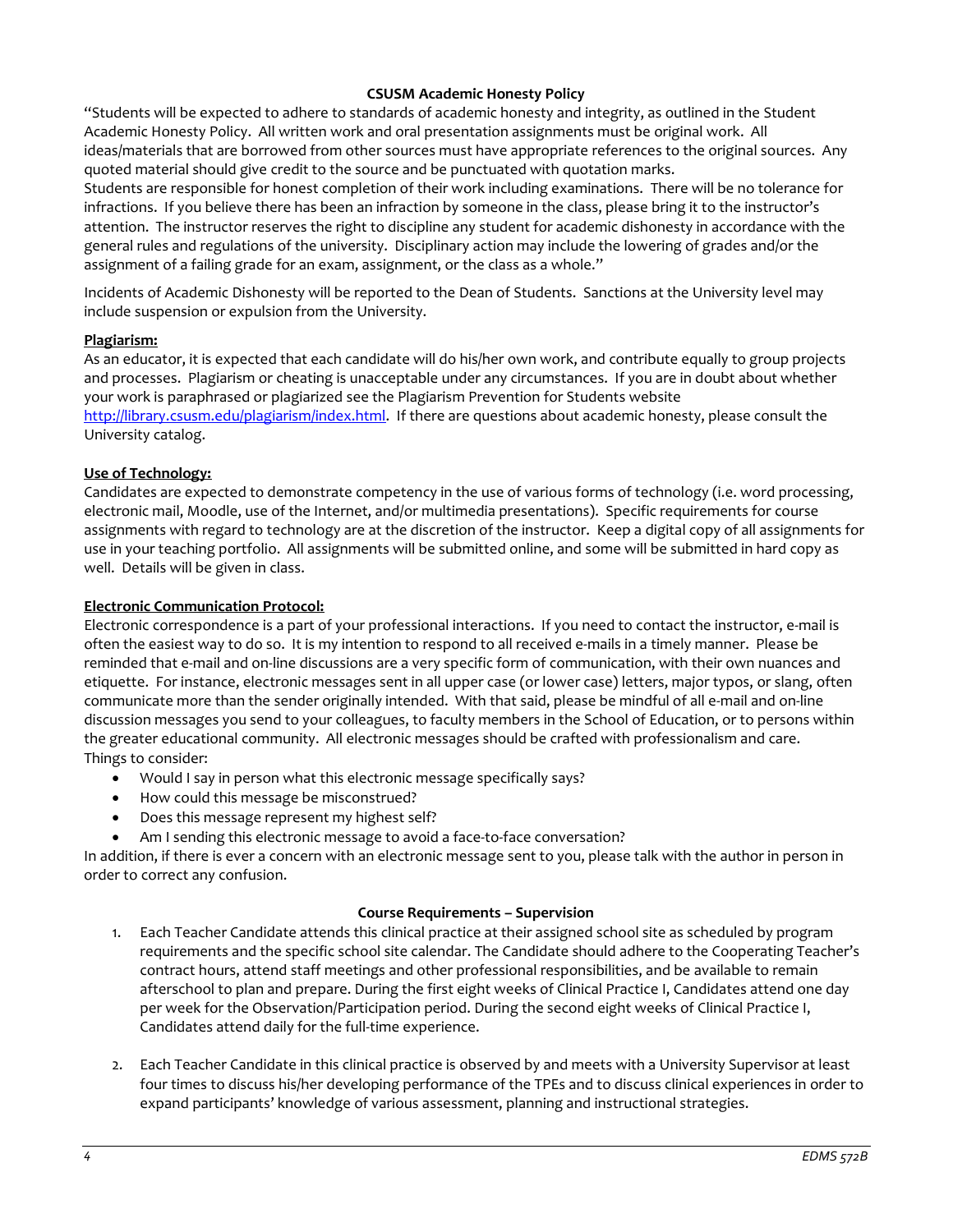# **CSUSM Academic Honesty Policy**

"Students will be expected to adhere to standards of academic honesty and integrity, as outlined in the Student Academic Honesty Policy. All written work and oral presentation assignments must be original work. All ideas/materials that are borrowed from other sources must have appropriate references to the original sources. Any quoted material should give credit to the source and be punctuated with quotation marks.

Students are responsible for honest completion of their work including examinations. There will be no tolerance for infractions. If you believe there has been an infraction by someone in the class, please bring it to the instructor's attention. The instructor reserves the right to discipline any student for academic dishonesty in accordance with the general rules and regulations of the university. Disciplinary action may include the lowering of grades and/or the assignment of a failing grade for an exam, assignment, or the class as a whole."

Incidents of Academic Dishonesty will be reported to the Dean of Students. Sanctions at the University level may include suspension or expulsion from the University.

## **Plagiarism:**

As an educator, it is expected that each candidate will do his/her own work, and contribute equally to group projects and processes. Plagiarism or cheating is unacceptable under any circumstances. If you are in doubt about whether your work is paraphrased or plagiarized see the Plagiarism Prevention for Students website [http://library.csusm.edu/plagiarism/index.html.](http://library.csusm.edu/plagiarism/index.html) If there are questions about academic honesty, please consult the University catalog.

# **Use of Technology:**

Candidates are expected to demonstrate competency in the use of various forms of technology (i.e. word processing, electronic mail, Moodle, use of the Internet, and/or multimedia presentations). Specific requirements for course assignments with regard to technology are at the discretion of the instructor. Keep a digital copy of all assignments for use in your teaching portfolio. All assignments will be submitted online, and some will be submitted in hard copy as well. Details will be given in class.

#### **Electronic Communication Protocol:**

Electronic correspondence is a part of your professional interactions. If you need to contact the instructor, e-mail is often the easiest way to do so. It is my intention to respond to all received e-mails in a timely manner. Please be reminded that e-mail and on-line discussions are a very specific form of communication, with their own nuances and etiquette. For instance, electronic messages sent in all upper case (or lower case) letters, major typos, or slang, often communicate more than the sender originally intended. With that said, please be mindful of all e-mail and on-line discussion messages you send to your colleagues, to faculty members in the School of Education, or to persons within the greater educational community. All electronic messages should be crafted with professionalism and care. Things to consider:

- Would I say in person what this electronic message specifically says?
- How could this message be misconstrued?
- Does this message represent my highest self?
- Am I sending this electronic message to avoid a face-to-face conversation?

In addition, if there is ever a concern with an electronic message sent to you, please talk with the author in person in order to correct any confusion.

#### **Course Requirements – Supervision**

- 1. Each Teacher Candidate attends this clinical practice at their assigned school site as scheduled by program requirements and the specific school site calendar. The Candidate should adhere to the Cooperating Teacher's contract hours, attend staff meetings and other professional responsibilities, and be available to remain afterschool to plan and prepare. During the first eight weeks of Clinical Practice I, Candidates attend one day per week for the Observation/Participation period. During the second eight weeks of Clinical Practice I, Candidates attend daily for the full-time experience.
- 2. Each Teacher Candidate in this clinical practice is observed by and meets with a University Supervisor at least four times to discuss his/her developing performance of the TPEs and to discuss clinical experiences in order to expand participants' knowledge of various assessment, planning and instructional strategies.